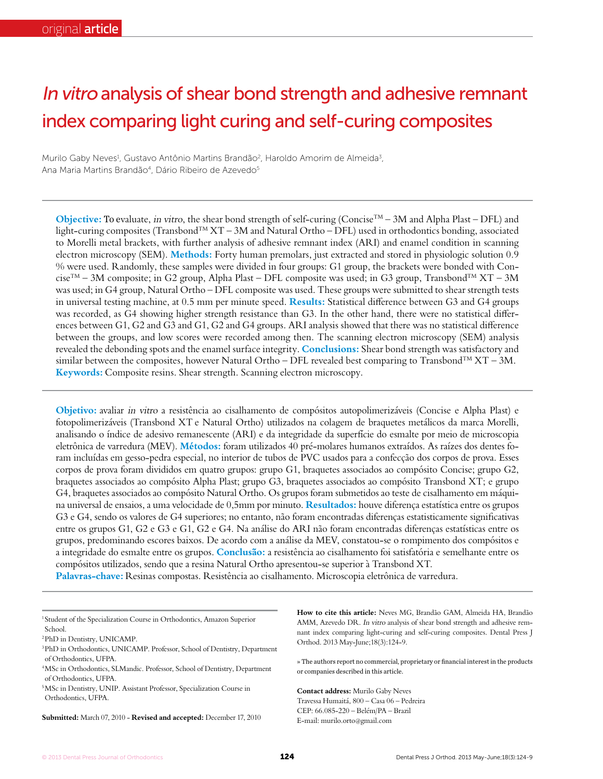# In vitro analysis of shear bond strength and adhesive remnant index comparing light curing and self-curing composites

Murilo Gaby Neves<sup>1</sup>, Gustavo Antônio Martins Brandão<sup>2</sup>, Haroldo Amorim de Almeida<sup>3</sup>, Ana Maria Martins Brandão<sup>4</sup>, Dário Ribeiro de Azevedo<sup>5</sup>

**Objective:** To evaluate, in vitro, the shear bond strength of self-curing (Concise<sup>TM</sup> – 3M and Alpha Plast – DFL) and light-curing composites (Transbond™ XT – 3M and Natural Ortho – DFL) used in orthodontics bonding, associated to Morelli metal brackets, with further analysis of adhesive remnant index (ARI) and enamel condition in scanning electron microscopy (SEM). **Methods:** Forty human premolars, just extracted and stored in physiologic solution 0.9 % were used. Randomly, these samples were divided in four groups: G1 group, the brackets were bonded with Con $cise^{TM} - 3M$  composite; in G2 group, Alpha Plast – DFL composite was used; in G3 group, Transbond<sup>TM</sup> XT – 3M was used; in G4 group, Natural Ortho – DFL composite was used. These groups were submitted to shear strength tests in universal testing machine, at 0.5 mm per minute speed. **Results:** Statistical difference between G3 and G4 groups was recorded, as G4 showing higher strength resistance than G3. In the other hand, there were no statistical differences between G1, G2 and G3 and G1, G2 and G4 groups. ARI analysis showed that there was no statistical difference between the groups, and low scores were recorded among then. The scanning electron microscopy (SEM) analysis revealed the debonding spots and the enamel surface integrity. **Conclusions:** Shear bond strength was satisfactory and similar between the composites, however Natural Ortho – DFL revealed best comparing to Transbond<sup>TM</sup> XT – 3M. **Keywords:** Composite resins. Shear strength. Scanning electron microscopy.

**Objetivo:** avaliar in vitro a resistência ao cisalhamento de compósitos autopolimerizáveis (Concise e Alpha Plast) e fotopolimerizáveis (Transbond XT e Natural Ortho) utilizados na colagem de braquetes metálicos da marca Morelli, analisando o índice de adesivo remanescente (ARI) e da integridade da superfície do esmalte por meio de microscopia eletrônica de varredura (MEV). **Métodos:** foram utilizados 40 pré-molares humanos extraídos. As raízes dos dentes foram incluídas em gesso-pedra especial, no interior de tubos de PVC usados para a confecção dos corpos de prova. Esses corpos de prova foram divididos em quatro grupos: grupo G1, braquetes associados ao compósito Concise; grupo G2, braquetes associados ao compósito Alpha Plast; grupo G3, braquetes associados ao compósito Transbond XT; e grupo G4, braquetes associados ao compósito Natural Ortho. Os grupos foram submetidos ao teste de cisalhamento em máquina universal de ensaios, a uma velocidade de 0,5mm por minuto. **Resultados:** houve diferença estatística entre os grupos G3 e G4, sendo os valores de G4 superiores; no entanto, não foram encontradas diferenças estatisticamente significativas entre os grupos G1, G2 e G3 e G1, G2 e G4. Na análise do ARI não foram encontradas diferenças estatísticas entre os grupos, predominando escores baixos. De acordo com a análise da MEV, constatou-se o rompimento dos compósitos e a integridade do esmalte entre os grupos. **Conclusão:** a resistência ao cisalhamento foi satisfatória e semelhante entre os compósitos utilizados, sendo que a resina Natural Ortho apresentou-se superior à Transbond XT. **Palavras-chave:** Resinas compostas. Resistência ao cisalhamento. Microscopia eletrônica de varredura.

<sup>1</sup> Student of the Specialization Course in Orthodontics, Amazon Superior School.

**Submitted:** March 07, 2010 - **Revised and accepted:** December 17, 2010

**How to cite this article:** Neves MG, Brandão GAM, Almeida HA, Brandão AMM, Azevedo DR. In vitro analysis of shear bond strength and adhesive remnant index comparing light-curing and self-curing composites. Dental Press J Orthod. 2013 May-June;18(3):124-9.

» The authors report no commercial, proprietary or financial interest in the products or companies described in this article.

**Contact address:** Murilo Gaby Neves Travessa Humaitá, 800 – Casa 06 – Pedreira CEP: 66.085-220 – Belém/PA – Brazil E-mail: murilo.orto@gmail.com

<sup>2</sup>PhD in Dentistry, UNICAMP.

<sup>3</sup>PhD in Orthodontics, UNICAMP. Professor, School of Dentistry, Department of Orthodontics, UFPA.

<sup>4</sup>MSc in Orthodontics, SLMandic. Professor, School of Dentistry, Department of Orthodontics, UFPA.

<sup>5</sup>MSc in Dentistry, UNIP. Assistant Professor, Specialization Course in Orthodontics, UFPA.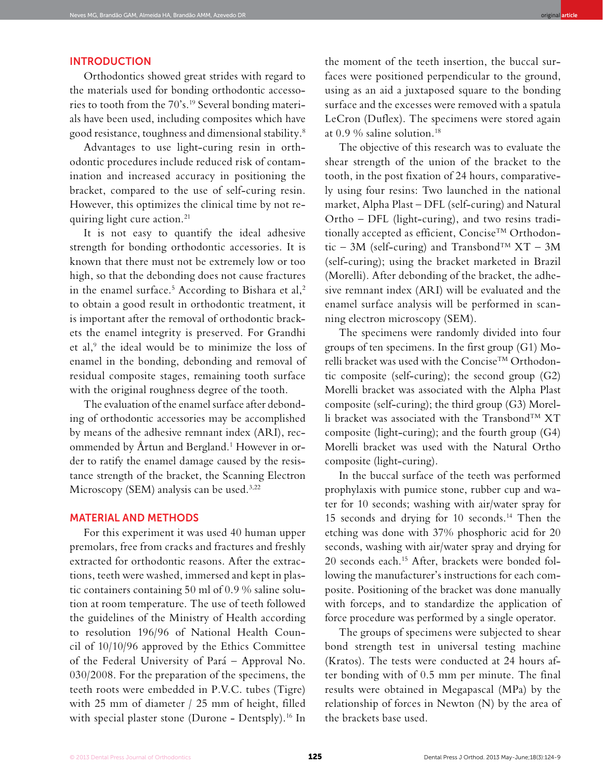## **INTRODUCTION**

Orthodontics showed great strides with regard to the materials used for bonding orthodontic accessories to tooth from the 70's.19 Several bonding materials have been used, including composites which have good resistance, toughness and dimensional stability.8

Advantages to use light-curing resin in orthodontic procedures include reduced risk of contamination and increased accuracy in positioning the bracket, compared to the use of self-curing resin. However, this optimizes the clinical time by not requiring light cure action.<sup>21</sup>

It is not easy to quantify the ideal adhesive strength for bonding orthodontic accessories. It is known that there must not be extremely low or too high, so that the debonding does not cause fractures in the enamel surface.<sup>5</sup> According to Bishara et al,<sup>2</sup> to obtain a good result in orthodontic treatment, it is important after the removal of orthodontic brackets the enamel integrity is preserved. For Grandhi et al,<sup>9</sup> the ideal would be to minimize the loss of enamel in the bonding, debonding and removal of residual composite stages, remaining tooth surface with the original roughness degree of the tooth.

The evaluation of the enamel surface after debonding of orthodontic accessories may be accomplished by means of the adhesive remnant index (ARI), recommended by Årtun and Bergland.1 However in order to ratify the enamel damage caused by the resistance strength of the bracket, the Scanning Electron Microscopy (SEM) analysis can be used.3,22

### MATERIAL AND METHODS

For this experiment it was used 40 human upper premolars, free from cracks and fractures and freshly extracted for orthodontic reasons. After the extractions, teeth were washed, immersed and kept in plastic containers containing 50 ml of 0.9 % saline solution at room temperature. The use of teeth followed the guidelines of the Ministry of Health according to resolution 196/96 of National Health Council of 10/10/96 approved by the Ethics Committee of the Federal University of Pará – Approval No. 030/2008. For the preparation of the specimens, the teeth roots were embedded in P.V.C. tubes (Tigre) with 25 mm of diameter / 25 mm of height, filled with special plaster stone (Durone - Dentsply).<sup>16</sup> In

the moment of the teeth insertion, the buccal surfaces were positioned perpendicular to the ground, using as an aid a juxtaposed square to the bonding surface and the excesses were removed with a spatula LeCron (Duflex). The specimens were stored again at  $0.9\%$  saline solution.<sup>18</sup>

The objective of this research was to evaluate the shear strength of the union of the bracket to the tooth, in the post fixation of 24 hours, comparatively using four resins: Two launched in the national market, Alpha Plast – DFL (self-curing) and Natural Ortho – DFL (light-curing), and two resins traditionally accepted as efficient, Concise™ Orthodontic – 3M (self-curing) and Transbond<sup>TM</sup>  $XT - 3M$ (self-curing); using the bracket marketed in Brazil (Morelli). After debonding of the bracket, the adhesive remnant index (ARI) will be evaluated and the enamel surface analysis will be performed in scanning electron microscopy (SEM).

The specimens were randomly divided into four groups of ten specimens. In the first group (G1) Morelli bracket was used with the Concise<sup>TM</sup> Orthodontic composite (self-curing); the second group (G2) Morelli bracket was associated with the Alpha Plast composite (self-curing); the third group (G3) Morelli bracket was associated with the Transbond™ XT composite (light-curing); and the fourth group (G4) Morelli bracket was used with the Natural Ortho composite (light-curing).

In the buccal surface of the teeth was performed prophylaxis with pumice stone, rubber cup and water for 10 seconds; washing with air/water spray for 15 seconds and drying for 10 seconds.14 Then the etching was done with 37% phosphoric acid for 20 seconds, washing with air/water spray and drying for 20 seconds each.15 After, brackets were bonded following the manufacturer's instructions for each composite. Positioning of the bracket was done manually with forceps, and to standardize the application of force procedure was performed by a single operator.

The groups of specimens were subjected to shear bond strength test in universal testing machine (Kratos). The tests were conducted at 24 hours after bonding with of 0.5 mm per minute. The final results were obtained in Megapascal (MPa) by the relationship of forces in Newton (N) by the area of the brackets base used.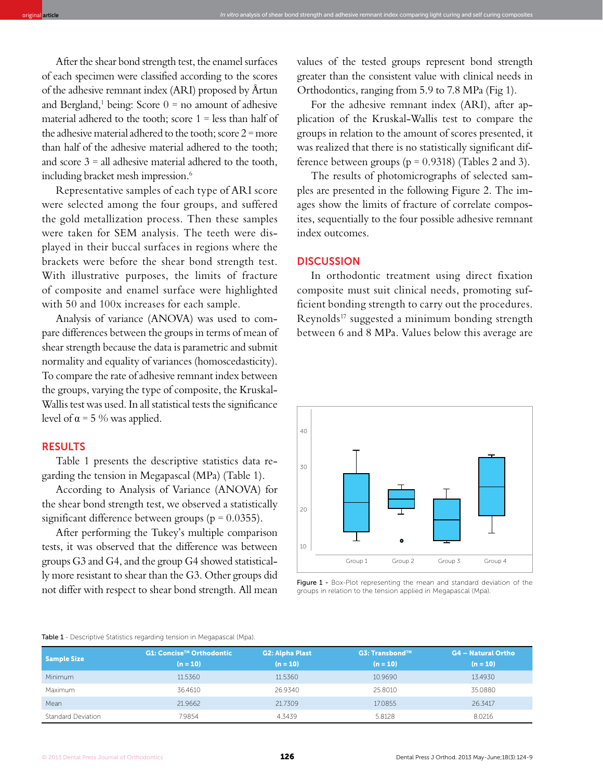After the shear bond strength test, the enamel surfaces of each specimen were classified according to the scores of the adhesive remnant index (ARI) proposed by Årtun and Bergland,<sup>1</sup> being: Score  $0 =$  no amount of adhesive material adhered to the tooth; score  $1 =$  less than half of the adhesive material adhered to the tooth; score  $2 =$  more than half of the adhesive material adhered to the tooth; and score  $3 =$  all adhesive material adhered to the tooth, including bracket mesh impression.<sup>6</sup>

Representative samples of each type of ARI score were selected among the four groups, and suffered the gold metallization process. Then these samples were taken for SEM analysis. The teeth were displayed in their buccal surfaces in regions where the brackets were before the shear bond strength test. With illustrative purposes, the limits of fracture of composite and enamel surface were highlighted with 50 and 100x increases for each sample.

Analysis of variance (ANOVA) was used to compare differences between the groups in terms of mean of shear strength because the data is parametric and submit normality and equality of variances (homoscedasticity). To compare the rate of adhesive remnant index between the groups, varying the type of composite, the Kruskal-Wallis test was used. In all statistical tests the significance level of  $\alpha$  = 5 % was applied.

### RESULTS

Table 1 presents the descriptive statistics data regarding the tension in Megapascal (MPa) (Table 1).

According to Analysis of Variance (ANOVA) for the shear bond strength test, we observed a statistically significant difference between groups ( $p = 0.0355$ ).

After performing the Tukey's multiple comparison tests, it was observed that the difference was between groups G3 and G4, and the group G4 showed statistically more resistant to shear than the G3. Other groups did not differ with respect to shear bond strength. All mean values of the tested groups represent bond strength greater than the consistent value with clinical needs in Orthodontics, ranging from 5.9 to 7.8 MPa (Fig 1).

For the adhesive remnant index (ARI), after application of the Kruskal-Wallis test to compare the groups in relation to the amount of scores presented, it was realized that there is no statistically significant difference between groups ( $p = 0.9318$ ) (Tables 2 and 3).

The results of photomicrographs of selected samples are presented in the following Figure 2. The images show the limits of fracture of correlate composites, sequentially to the four possible adhesive remnant index outcomes.

### **DISCUSSION**

original **article** In vitro analysis of shear bond strength and adhesive remnant index comparing light curing and self curing composites

In orthodontic treatment using direct fixation composite must suit clinical needs, promoting sufficient bonding strength to carry out the procedures. Reynolds17 suggested a minimum bonding strength between 6 and 8 MPa. Values below this average are



Figure 1 - Box-Plot representing the mean and standard deviation of the groups in relation to the tension applied in Megapascal (Mpa).

#### Table 1 - Descriptive Statistics regarding tension in Megapascal (Mpa).

| Sample Size        | G1: Concise <sup>™</sup> Orthodontic<br>$(n = 10)^n$ | <b>G2: Alpha Plast</b><br>$(n = 10)$ | G3: Transbond™<br>$(n = 10)$ | <b>G4 - Natural Ortho</b><br>$(n = 10)$ |
|--------------------|------------------------------------------------------|--------------------------------------|------------------------------|-----------------------------------------|
| Minimum            | 11.5360                                              | 11.5360                              | 10.9690                      | 13.4930                                 |
| Maximum            | 36.4610                                              | 26.9340                              | 25,8010                      | 35.0880                                 |
| Mean               | 21.9662                                              | 21.7309                              | 17.0855                      | 26.3417                                 |
| Standard Deviation | 7.9854                                               | 4.3439                               | 5.8128                       | 8.0216                                  |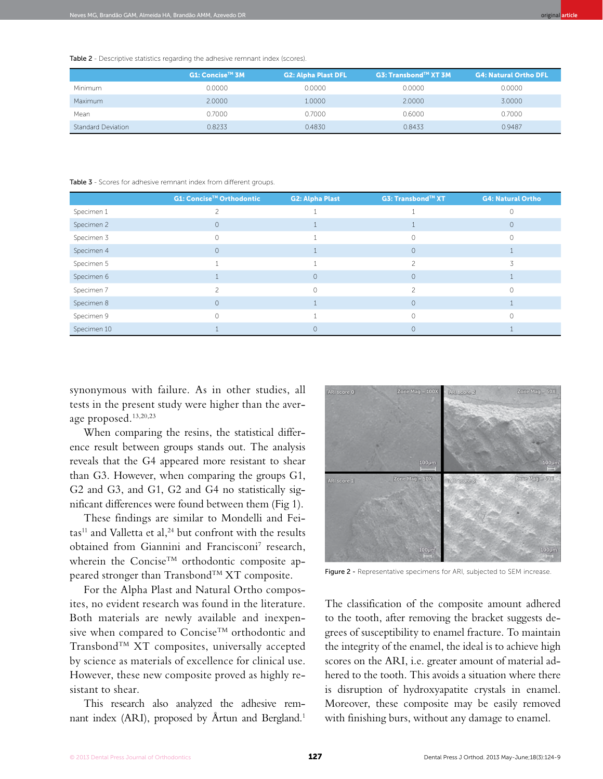Table 2 - Descriptive statistics regarding the adhesive remnant index (scores).

|                           | G1: Concise™ 3M | <b>G2: Alpha Plast DFL</b> | G3: Transbond <sup>TM</sup> XT 3M | <b>G4: Natural Ortho DFL</b> |
|---------------------------|-----------------|----------------------------|-----------------------------------|------------------------------|
| Minimum                   | 0.0000          | 0.0000                     | 0.0000                            | 0.0000                       |
| Maximum                   | 2.0000          | 1.0000                     | 2.0000                            | 3.0000                       |
| Mean                      | 0.7000          | 0.7000                     | 0.6000                            | 0.7000                       |
| <b>Standard Deviation</b> | 0.8233          | 0.4830                     | 0.8433                            | 0.9487                       |

Table 3 - Scores for adhesive remnant index from different groups.

|             | G1: Concise™ Orthodontic | <b>G2: Alpha Plast</b> | <b>G3: Transbond™ XT</b> | <b>G4: Natural Ortho</b> |
|-------------|--------------------------|------------------------|--------------------------|--------------------------|
| Specimen 1  |                          |                        |                          |                          |
| Specimen 2  | $\circ$                  |                        |                          | $\Omega$                 |
| Specimen 3  | $\Omega$                 |                        | $\Omega$                 |                          |
| Specimen 4  | $\Omega$                 |                        | $\circ$                  |                          |
| Specimen 5  |                          |                        | つ                        |                          |
| Specimen 6  |                          | $\circ$                | $\circ$                  |                          |
| Specimen 7  |                          | $\cap$                 |                          |                          |
| Specimen 8  | $\Omega$                 |                        | $\circ$                  |                          |
| Specimen 9  | $\Omega$                 |                        | $\bigcap$                |                          |
| Specimen 10 |                          |                        | $\Omega$                 |                          |

synonymous with failure. As in other studies, all tests in the present study were higher than the average proposed.13,20,23

When comparing the resins, the statistical difference result between groups stands out. The analysis reveals that the G4 appeared more resistant to shear than G3. However, when comparing the groups G1, G2 and G3, and G1, G2 and G4 no statistically significant differences were found between them (Fig 1).

These findings are similar to Mondelli and Fei- $\text{tas}^{11}$  and Valletta et al,<sup>24</sup> but confront with the results obtained from Giannini and Francisconi<sup>7</sup> research, wherein the Concise<sup>TM</sup> orthodontic composite appeared stronger than Transbond™ XT composite.

For the Alpha Plast and Natural Ortho composites, no evident research was found in the literature. Both materials are newly available and inexpensive when compared to Concise<sup>TM</sup> orthodontic and Transbond™ XT composites, universally accepted by science as materials of excellence for clinical use. However, these new composite proved as highly resistant to shear.

This research also analyzed the adhesive remnant index (ARI), proposed by Årtun and Bergland.<sup>1</sup>



Figure 2 - Representative specimens for ARI, subjected to SEM increase.

The classification of the composite amount adhered to the tooth, after removing the bracket suggests degrees of susceptibility to enamel fracture. To maintain the integrity of the enamel, the ideal is to achieve high scores on the ARI, i.e. greater amount of material adhered to the tooth. This avoids a situation where there is disruption of hydroxyapatite crystals in enamel. Moreover, these composite may be easily removed with finishing burs, without any damage to enamel.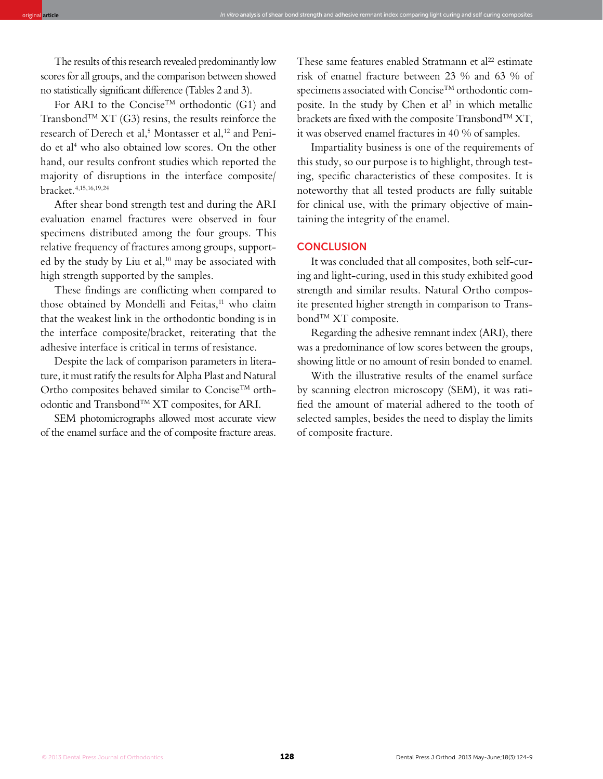The results of this research revealed predominantly low scores for all groups, and the comparison between showed no statistically significant difference (Tables 2 and 3).

For ARI to the Concise™ orthodontic (G1) and Transbond<sup>TM</sup> XT (G3) resins, the results reinforce the research of Derech et al,<sup>5</sup> Montasser et al,<sup>12</sup> and Penido et al4 who also obtained low scores. On the other hand, our results confront studies which reported the majority of disruptions in the interface composite/ bracket.4,15,16,19,24

After shear bond strength test and during the ARI evaluation enamel fractures were observed in four specimens distributed among the four groups. This relative frequency of fractures among groups, supported by the study by Liu et al,<sup>10</sup> may be associated with high strength supported by the samples.

These findings are conflicting when compared to those obtained by Mondelli and Feitas,<sup>11</sup> who claim that the weakest link in the orthodontic bonding is in the interface composite/bracket, reiterating that the adhesive interface is critical in terms of resistance.

Despite the lack of comparison parameters in literature, it must ratify the results for Alpha Plast and Natural Ortho composites behaved similar to Concise<sup>TM</sup> orthodontic and TransbondTM XT composites, for ARI.

SEM photomicrographs allowed most accurate view of the enamel surface and the of composite fracture areas.

These same features enabled Stratmann et al<sup>22</sup> estimate risk of enamel fracture between 23 % and 63 % of specimens associated with Concise<sup>TM</sup> orthodontic composite. In the study by Chen et al<sup>3</sup> in which metallic brackets are fixed with the composite Transbond<sup>TM</sup> XT, it was observed enamel fractures in 40 % of samples.

Impartiality business is one of the requirements of this study, so our purpose is to highlight, through testing, specific characteristics of these composites. It is noteworthy that all tested products are fully suitable for clinical use, with the primary objective of maintaining the integrity of the enamel.

#### **CONCLUSION**

original **article** In vitro analysis of shear bond strength and adhesive remnant index comparing light curing and self curing composites

It was concluded that all composites, both self-curing and light-curing, used in this study exhibited good strength and similar results. Natural Ortho composite presented higher strength in comparison to Transbond<sup>TM</sup> XT composite.

Regarding the adhesive remnant index (ARI), there was a predominance of low scores between the groups, showing little or no amount of resin bonded to enamel.

With the illustrative results of the enamel surface by scanning electron microscopy (SEM), it was ratified the amount of material adhered to the tooth of selected samples, besides the need to display the limits of composite fracture.